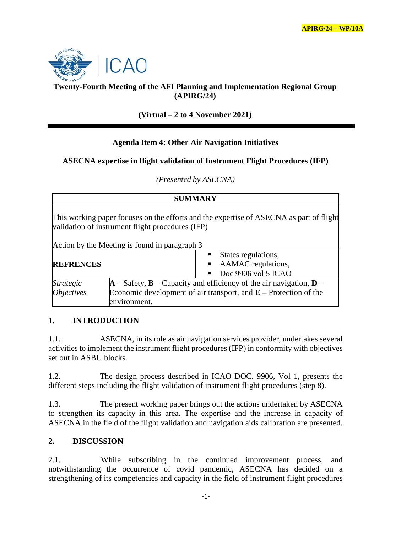

# **Twenty-Fourth Meeting of the AFI Planning and Implementation Regional Group (APIRG/24)**

### **(Virtual – 2 to 4 November 2021)**

## **Agenda Item 4: Other Air Navigation Initiatives**

### **ASECNA expertise in flight validation of Instrument Flight Procedures (IFP)**

*(Presented by ASECNA)*

| SUMMARY                                                                                                                                     |                                                                                                     |                       |
|---------------------------------------------------------------------------------------------------------------------------------------------|-----------------------------------------------------------------------------------------------------|-----------------------|
| This working paper focuses on the efforts and the expertise of ASECNA as part of flight<br>validation of instrument flight procedures (IFP) |                                                                                                     |                       |
| Action by the Meeting is found in paragraph 3                                                                                               |                                                                                                     |                       |
|                                                                                                                                             |                                                                                                     | • States regulations, |
| <b>REFRENCES</b>                                                                                                                            |                                                                                                     | AAMAC regulations,    |
|                                                                                                                                             |                                                                                                     | Doc 9906 vol 5 ICAO   |
| <i>Strategic</i>                                                                                                                            | $\mathbf{A}$ – Safety, $\mathbf{B}$ – Capacity and efficiency of the air navigation, $\mathbf{D}$ – |                       |
| <i><b>Objectives</b></i>                                                                                                                    | Economic development of air transport, and $E$ – Protection of the<br>environment.                  |                       |

#### **1. INTRODUCTION**

1.1. ASECNA, in its role as air navigation services provider, undertakes several activities to implement the instrument flight procedures (IFP) in conformity with objectives set out in ASBU blocks.

1.2. The design process described in ICAO DOC. 9906, Vol 1, presents the different steps including the flight validation of instrument flight procedures (step 8).

1.3. The present working paper brings out the actions undertaken by ASECNA to strengthen its capacity in this area. The expertise and the increase in capacity of ASECNA in the field of the flight validation and navigation aids calibration are presented.

## **2. DISCUSSION**

2.1. While subscribing in the continued improvement process, and notwithstanding the occurrence of covid pandemic, ASECNA has decided on a strengthening of its competencies and capacity in the field of instrument flight procedures